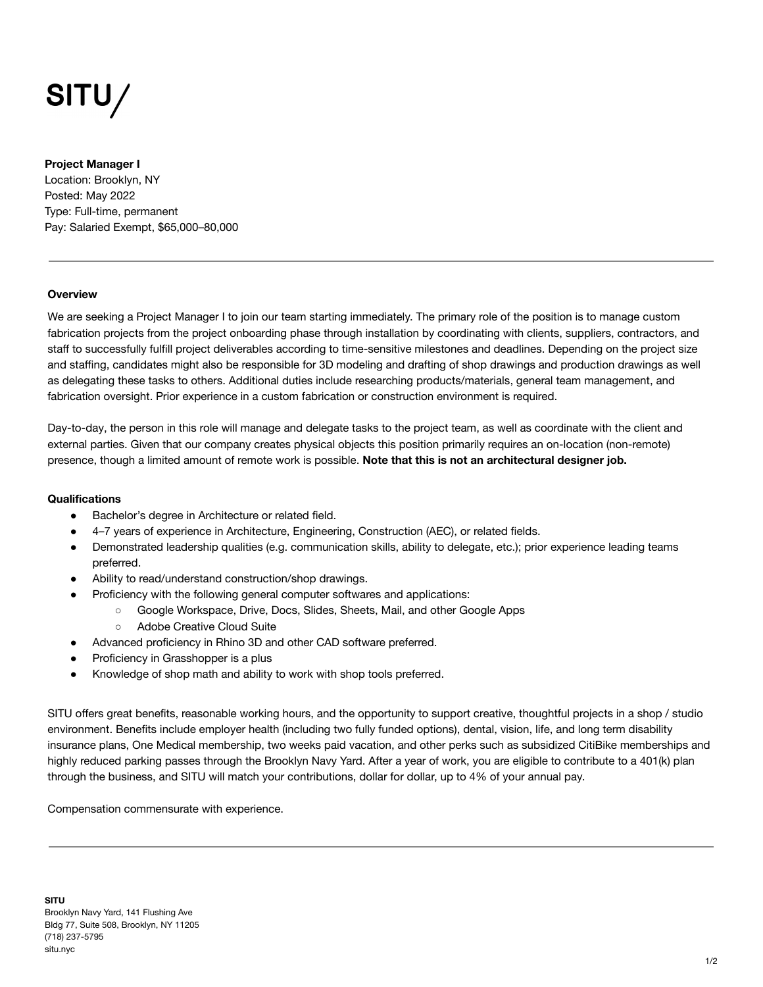# SITU/

## **Project Manager I**

Location: Brooklyn, NY Posted: May 2022 Type: Full-time, permanent Pay: Salaried Exempt, \$65,000–80,000

## **Overview**

We are seeking a Project Manager I to join our team starting immediately. The primary role of the position is to manage custom fabrication projects from the project onboarding phase through installation by coordinating with clients, suppliers, contractors, and staff to successfully fulfill project deliverables according to time-sensitive milestones and deadlines. Depending on the project size and staffing, candidates might also be responsible for 3D modeling and drafting of shop drawings and production drawings as well as delegating these tasks to others. Additional duties include researching products/materials, general team management, and fabrication oversight. Prior experience in a custom fabrication or construction environment is required.

Day-to-day, the person in this role will manage and delegate tasks to the project team, as well as coordinate with the client and external parties. Given that our company creates physical objects this position primarily requires an on-location (non-remote) presence, though a limited amount of remote work is possible. **Note that this is not an architectural designer job.**

## **Qualifications**

- Bachelor's degree in Architecture or related field.
- 4–7 years of experience in Architecture, Engineering, Construction (AEC), or related fields.
- Demonstrated leadership qualities (e.g. communication skills, ability to delegate, etc.); prior experience leading teams preferred.
- Ability to read/understand construction/shop drawings.
- Proficiency with the following general computer softwares and applications:
	- Google Workspace, Drive, Docs, Slides, Sheets, Mail, and other Google Apps
		- Adobe Creative Cloud Suite
- Advanced proficiency in Rhino 3D and other CAD software preferred.
- Proficiency in Grasshopper is a plus
- Knowledge of shop math and ability to work with shop tools preferred.

SITU offers great benefits, reasonable working hours, and the opportunity to support creative, thoughtful projects in a shop / studio environment. Benefits include employer health (including two fully funded options), dental, vision, life, and long term disability insurance plans, One Medical membership, two weeks paid vacation, and other perks such as subsidized CitiBike memberships and highly reduced parking passes through the Brooklyn Navy Yard. After a year of work, you are eligible to contribute to a 401(k) plan through the business, and SITU will match your contributions, dollar for dollar, up to 4% of your annual pay.

Compensation commensurate with experience.